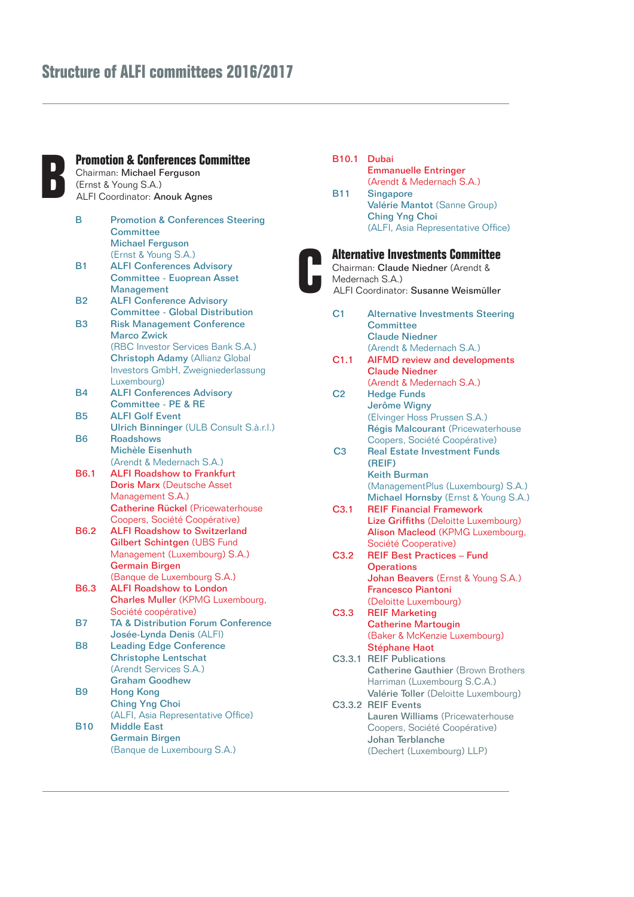# **Structure of ALFI committees 2016/2017**

### **B Promotion & Conferences Committee**  Chairman: Michael Ferguson

(Ernst & Young S.A.) ALFI Coordinator: Anouk Agnes

| В                | <b>Promotion &amp; Conferences Steering</b>   |  |
|------------------|-----------------------------------------------|--|
|                  | Committee                                     |  |
|                  | <b>Michael Ferguson</b>                       |  |
|                  | (Ernst & Young S.A.)                          |  |
| B <sub>1</sub>   | <b>ALFI Conferences Advisory</b>              |  |
|                  | <b>Committee - Euoprean Asset</b>             |  |
|                  | Management                                    |  |
|                  |                                               |  |
| B2               | <b>ALFI Conference Advisory</b>               |  |
|                  | <b>Committee - Global Distribution</b>        |  |
| <b>B3</b>        | <b>Risk Management Conference</b>             |  |
|                  | <b>Marco Zwick</b>                            |  |
|                  | (RBC Investor Services Bank S.A.)             |  |
|                  | <b>Christoph Adamy (Allianz Global</b>        |  |
|                  | Investors GmbH, Zweigniederlassung            |  |
|                  | Luxembourg)                                   |  |
| <b>B4</b>        | <b>ALFI Conferences Advisory</b>              |  |
|                  | Committee - PE & RE                           |  |
| <b>B5</b>        | <b>ALFI Golf Event</b>                        |  |
|                  | Ulrich Binninger (ULB Consult S.à.r.l.)       |  |
| <b>B6</b>        | <b>Roadshows</b>                              |  |
|                  | Michèle Eisenhuth                             |  |
|                  | (Arendt & Medernach S.A.)                     |  |
|                  |                                               |  |
| <b>B6.1</b>      | <b>ALFI Roadshow to Frankfurt</b>             |  |
|                  | <b>Doris Marx (Deutsche Asset</b>             |  |
|                  | Management S.A.)                              |  |
|                  | <b>Catherine Rückel (Pricewaterhouse</b>      |  |
|                  | Coopers, Société Coopérative)                 |  |
| B <sub>6.2</sub> | <b>ALFI Roadshow to Switzerland</b>           |  |
|                  | Gilbert Schintgen (UBS Fund                   |  |
|                  | Management (Luxembourg) S.A.)                 |  |
|                  | <b>Germain Birgen</b>                         |  |
|                  | (Banque de Luxembourg S.A.)                   |  |
| <b>B6.3</b>      | <b>ALFI Roadshow to London</b>                |  |
|                  | <b>Charles Muller (KPMG Luxembourg,</b>       |  |
|                  | Société coopérative)                          |  |
| B7               | <b>TA &amp; Distribution Forum Conference</b> |  |
|                  | Josée-Lynda Denis (ALFI)                      |  |
| B8               | <b>Leading Edge Conference</b>                |  |
|                  |                                               |  |
|                  | <b>Christophe Lentschat</b>                   |  |
|                  | (Arendt Services S.A.)                        |  |
|                  | <b>Graham Goodhew</b>                         |  |
| <b>B9</b>        | <b>Hong Kong</b>                              |  |
|                  | <b>Ching Yng Choi</b>                         |  |
|                  | (ALFI, Asia Representative Office)            |  |
| <b>B10</b>       | <b>Middle East</b>                            |  |
|                  | <b>Germain Birgen</b>                         |  |
|                  | (Banque de Luxembourg S.A.)                   |  |
|                  |                                               |  |

### B10.1 Dubai Emmanuelle Entringer (Arendt & Medernach S.A.) B11 Singapore Valérie Mantot (Sanne Group) Ching Yng Choi (ALFI, Asia Representative Office) **C Alternative Investments Committee** Chairman: Claude Niedner (Arendt & Medernach S.A.) ALFI Coordinator: Susanne Weismüller C1 Alternative Investments Steering **Committee** Claude Niedner (Arendt & Medernach S.A.) C1.1 AIFMD review and developments Claude Niedner (Arendt & Medernach S.A.) C2 Hedge Funds Jerôme Wigny (Elvinger Hoss Prussen S.A.) Régis Malcourant (Pricewaterhouse Coopers, Société Coopérative) C3 Real Estate Investment Funds (REIF) Keith Burman (ManagementPlus (Luxembourg) S.A.) Michael Hornsby (Ernst & Young S.A.)

- C3.1 REIF Financial Framework Lize Griffiths (Deloitte Luxembourg) Alison Macleod (KPMG Luxembourg, Société Cooperative)
- C3.2 REIF Best Practices Fund **Operations** Johan Beavers (Ernst & Young S.A.) Francesco Piantoni (Deloitte Luxembourg)

### C3.3 REIF Marketing Catherine Martougin (Baker & McKenzie Luxembourg) Stéphane Haot

- C3.3.1 REIF Publications Catherine Gauthier (Brown Brothers Harriman (Luxembourg S.C.A.) Valérie Toller (Deloitte Luxembourg) C3.3.2 REIF Events Lauren Williams (Pricewaterhouse
- Coopers, Société Coopérative) Johan Terblanche (Dechert (Luxembourg) LLP)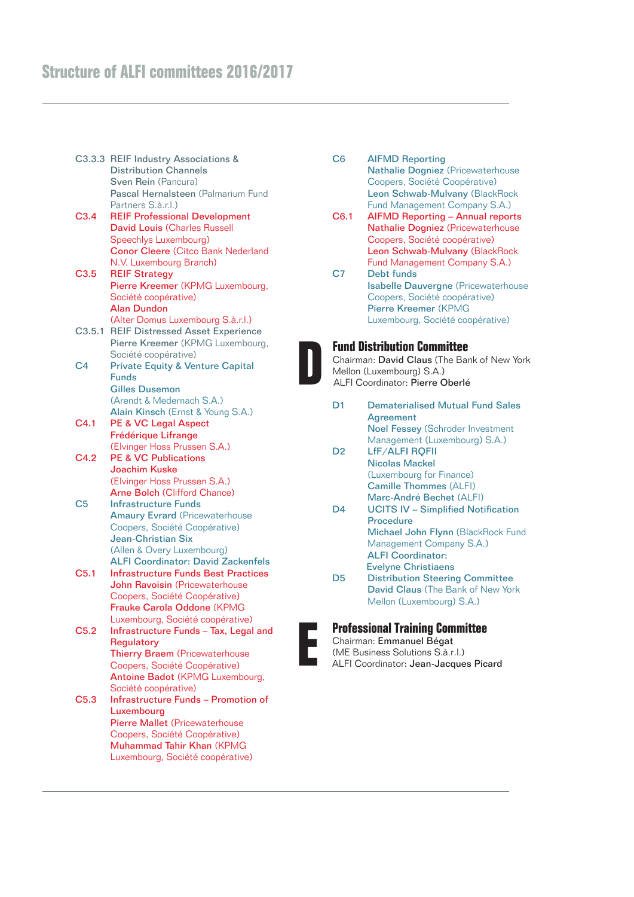# **Structure of ALFI committees 2016/2017**

|                  | C3.3.3 REIF Industry Associations &<br><b>Distribution Channels</b><br>Sven Rein (Pancura) |
|------------------|--------------------------------------------------------------------------------------------|
|                  | Pascal Hernalsteen (Palmarium Fund                                                         |
|                  | Partners S.à.r.l.)                                                                         |
| C3.4             | <b>REIF Professional Development</b>                                                       |
|                  | <b>David Louis (Charles Russell</b>                                                        |
|                  | Speechlys Luxembourg)                                                                      |
|                  | <b>Conor Cleere (Citco Bank Nederland</b>                                                  |
|                  | N.V. Luxembourg Branch)                                                                    |
| C3.5             | <b>REIF Strategy</b>                                                                       |
|                  | Pierre Kreemer (KPMG Luxembourg,                                                           |
|                  | Société coopérative)                                                                       |
|                  | <b>Alan Dundon</b>                                                                         |
|                  | (Alter Domus Luxembourg S.à.r.l.)                                                          |
|                  | C3.5.1 REIF Distressed Asset Experience                                                    |
|                  | Pierre Kreemer (KPMG Luxembourg,                                                           |
|                  | Société coopérative)                                                                       |
| C4               | <b>Private Equity &amp; Venture Capital</b>                                                |
|                  | <b>Funds</b><br><b>Gilles Dusemon</b>                                                      |
|                  | (Arendt & Medernach S.A.)                                                                  |
|                  | Alain Kinsch (Ernst & Young S.A.)                                                          |
| C <sub>4.1</sub> | PE & VC Legal Aspect                                                                       |
|                  | Frédérique Lifrange                                                                        |
|                  | (Elvinger Hoss Prussen S.A.)                                                               |
| C4.2             | <b>PE &amp; VC Publications</b>                                                            |
|                  | <b>Joachim Kuske</b>                                                                       |
|                  | (Elvinger Hoss Prussen S.A.)                                                               |
|                  | <b>Arne Bolch (Clifford Chance)</b>                                                        |
| C <sub>5</sub>   | <b>Infrastructure Funds</b>                                                                |
|                  | <b>Amaury Evrard (Pricewaterhouse</b>                                                      |
|                  | Coopers, Société Coopérative)                                                              |
|                  | <b>Jean-Christian Six</b>                                                                  |
|                  | (Allen & Overy Luxembourg)                                                                 |
|                  | <b>ALFI Coordinator: David Zackenfels</b>                                                  |
| C <sub>5.1</sub> | <b>Infrastructure Funds Best Practices</b>                                                 |
|                  | John Ravoisin (Pricewaterhouse                                                             |
|                  | Coopers, Société Coopérative)                                                              |
|                  | Frauke Carola Oddone (KPMG                                                                 |
|                  | Luxembourg, Société coopérative)                                                           |
| C5.2             | Infrastructure Funds - Tax, Legal and                                                      |
|                  | <b>Regulatory</b>                                                                          |
|                  | <b>Thierry Braem</b> (Pricewaterhouse                                                      |
|                  | Coopers, Société Coopérative)                                                              |
|                  | Antoine Badot (KPMG Luxembourg,                                                            |
|                  | Société coopérative)                                                                       |
| C <sub>5.3</sub> | <b>Infrastructure Funds - Promotion of</b>                                                 |
|                  | Luxembourg                                                                                 |
|                  | <b>Pierre Mallet (Pricewaterhouse</b>                                                      |
|                  | Coopers, Société Coopérative)                                                              |
|                  | Muhammad Tahir Khan (KPMG                                                                  |
|                  | Luxembourg, Société coopérative)                                                           |

- C6 AIFMD Reporting Nathalie Dogniez (Pricewaterhouse Coopers, Société Coopérative) Leon Schwab-Mulvany (BlackRock Fund Management Company S.A.) C6.1 AIFMD Reporting – Annual reports
- Nathalie Dogniez (Pricewaterhouse Coopers, Société coopérative) Leon Schwab-Mulvany (BlackRock Fund Management Company S.A.) C7 Debt funds
- Isabelle Dauvergne (Pricewaterhouse Coopers, Société coopérative) Pierre Kreemer (KPMG Luxembourg, Société coopérative)



### **Fund Distribution Committee**

Chairman: David Claus (The Bank of New York Mellon (Luxembourg) S.A.) ALFI Coordinator: Pierre Oberlé

- D1 Dematerialised Mutual Fund Sales Agreement Noel Fessey (Schroder Investment Management (Luxembourg) S.A.) D2 LfF/ALFI ROFII
- Nicolas Mackel (Luxembourg for Finance) Camille Thommes (ALFI) Marc-André Bechet (ALFI)
- D4 UCITS IV Simplified Notification Procedure Michael John Flynn (BlackRock Fund Management Company S.A.) ALFI Coordinator: Evelyne Christiaens D5 Distribution Steering Committee
- David Claus (The Bank of New York Mellon (Luxembourg) S.A.)



# **E Professional Training Committee**

Chairman: Emmanuel Bégat (ME Business Solutions S.à.r.l.)

ALFI Coordinator: Jean-Jacques Picard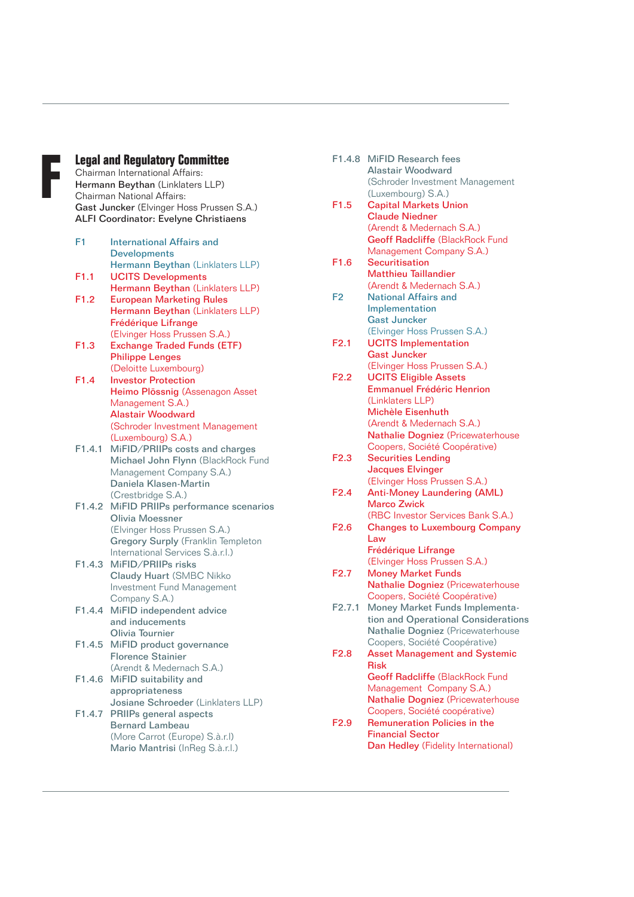## **F Legal and Regulatory Committee**

Chairman International Affairs: Hermann Beythan (Linklaters LLP) Chairman National Affairs: Gast Juncker (Elvinger Hoss Prussen S.A.) ALFI Coordinator: Evelyne Christiaens

| F <sub>1</sub>   | <b>International Affairs and</b>   |
|------------------|------------------------------------|
|                  | <b>Developments</b>                |
|                  | Hermann Beythan (Linklaters LLP)   |
| F1.1             | <b>UCITS Developments</b>          |
|                  | Hermann Beythan (Linklaters LLP)   |
| F <sub>1.2</sub> | <b>European Marketing Rules</b>    |
|                  | Hermann Beythan (Linklaters LLP)   |
|                  | Frédérique Lifrange                |
|                  | (Elvinger Hoss Prussen S.A.)       |
| F1.3             | <b>Exchange Traded Funds (ETF)</b> |
|                  | <b>Philippe Lenges</b>             |
|                  | (Deloitte Luxembourg)              |
| F <sub>1.4</sub> | <b>Investor Protection</b>         |
|                  | Heimo Plössnig (Assenagon Asset    |
|                  | Management S.A.)                   |
|                  | <b>Alastair Woodward</b>           |
|                  | (Schroder Investment Management    |
|                  | (Luxembourg) S.A.)                 |
| F1.4.1           | MiFID/PRIIPs costs and charges     |
|                  | Michael John Flynn (BlackRock Fund |
|                  | Management Company S.A.)           |
|                  | Daniela Klasen-Martin              |
|                  | (Crestbridge S.A.)                 |
| F1.4.2           | MiFID PRIIPs performance scenarios |
|                  | <b>Olivia Moessner</b>             |
|                  | (Elvinger Hoss Prussen S.A.)       |
|                  | Gregory Surply (Franklin Templeton |
|                  | International Services S.à.r.l.)   |
| F1.4.3           | MiFID/PRIIPs risks                 |
|                  | <b>Claudy Huart (SMBC Nikko</b>    |
|                  | Investment Fund Management         |
|                  | Company S.A.)                      |
| F1.4.4           | MiFID independent advice           |
|                  | and inducements                    |
|                  | Olivia Tournier                    |
| F1.4.5           | MiFID product governance           |
|                  | <b>Florence Stainier</b>           |
|                  | (Arendt & Medernach S.A.)          |
| F1.4.6           | MiFID suitability and              |
|                  | appropriateness                    |
|                  | Josiane Schroeder (Linklaters LLP) |
| F1.4.7           | PRIIPs general aspects             |
|                  | <b>Bernard Lambeau</b>             |

- (More Carrot (Europe) S.à.r.l) Mario Mantrisi (InReg S.à.r.l.)
- F1.4.8 MiFID Research fees Alastair Woodward (Schroder Investment Management (Luxembourg) S.A.) F1.5 Capital Markets Union Claude Niedner (Arendt & Medernach S.A.) Geoff Radcliffe (BlackRock Fund Management Company S.A.) F1.6 Securitisation Matthieu Taillandier (Arendt & Medernach S.A.) F2 National Affairs and Implementation Gast Juncker (Elvinger Hoss Prussen S.A.) F2.1 UCITS Implementation Gast Juncker (Elvinger Hoss Prussen S.A.) F2.2 UCITS Eligible Assets Emmanuel Frédéric Henrion (Linklaters LLP) Michèle Eisenhuth (Arendt & Medernach S.A.) Nathalie Dogniez (Pricewaterhouse Coopers, Société Coopérative) F2.3 Securities Lending Jacques Elvinger (Elvinger Hoss Prussen S.A.) F2.4 Anti-Money Laundering (AML) Marco Zwick (RBC Investor Services Bank S.A.) F2.6 Changes to Luxembourg Company Law Frédérique Lifrange (Elvinger Hoss Prussen S.A.) F2.7 Money Market Funds Nathalie Dogniez (Pricewaterhouse Coopers, Société Coopérative) F2.7.1 Money Market Funds Implementation and Operational Considerations Nathalie Dogniez (Pricewaterhouse Coopers, Société Coopérative) F2.8 Asset Management and Systemic Risk Geoff Radcliffe (BlackRock Fund Management Company S.A.) Nathalie Dogniez (Pricewaterhouse Coopers, Société coopérative) F2.9 Remuneration Policies in the Financial Sector Dan Hedley (Fidelity International)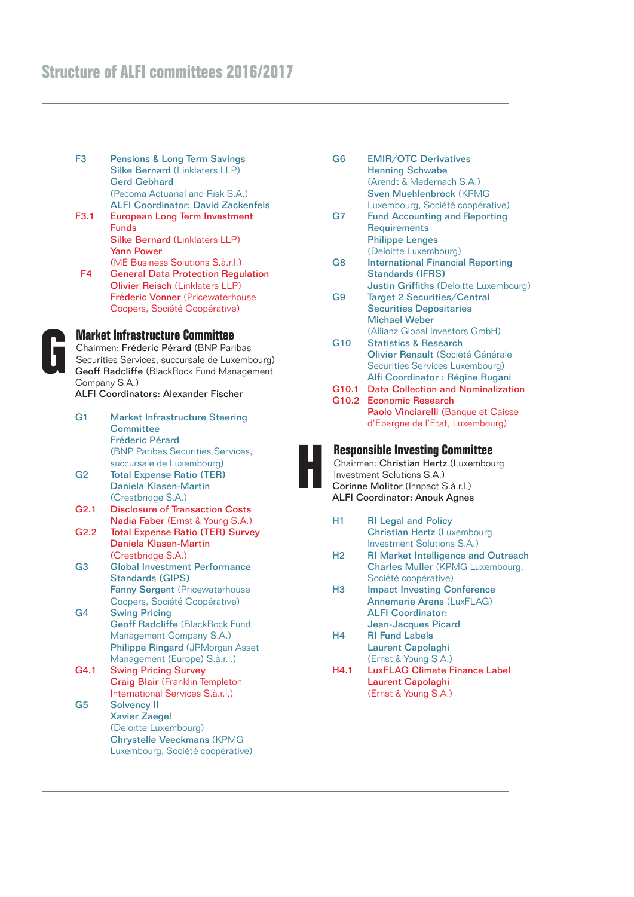- F3 Pensions & Long Term Savings Silke Bernard (Linklaters LLP) Gerd Gebhard (Pecoma Actuarial and Risk S.A.) ALFI Coordinator: David Zackenfels
- F3.1 European Long Term Investment Funds Silke Bernard (Linklaters LLP) Yann Power (ME Business Solutions S.à.r.l.)
- F4 General Data Protection Regulation Olivier Reisch (Linklaters LLP) Fréderic Vonner (Pricewaterhouse Coopers, Société Coopérative)



# **G Market Infrastructure Committee**

Chairmen: Fréderic Pérard (BNP Paribas Securities Services, succursale de Luxembourg) Geoff Radcliffe (BlackRock Fund Management Company S.A.)

ALFI Coordinators: Alexander Fischer

- G1 Market Infrastructure Steering **Committee** Fréderic Pérard (BNP Paribas Securities Services, succursale de Luxembourg) G2 Total Expense Ratio (TER)
- Daniela Klasen-Martin (Crestbridge S.A.)
- G2.1 Disclosure of Transaction Costs Nadia Faber (Ernst & Young S.A.)
- G2.2 Total Expense Ratio (TER) Survey Daniela Klasen-Martin (Crestbridge S.A.)
- G3 Global Investment Performance Standards (GIPS) Fanny Sergent (Pricewaterhouse Coopers, Société Coopérative)
- G4 Swing Pricing Geoff Radcliffe (BlackRock Fund Management Company S.A.) Philippe Ringard (JPMorgan Asset Management (Europe) S.à.r.l.)
- G4.1 Swing Pricing Survey Craig Blair (Franklin Templeton International Services S.à.r.l.)
- G5 Solvency II Xavier Zaegel (Deloitte Luxembourg) Chrystelle Veeckmans (KPMG Luxembourg, Société coopérative)
- G6 EMIR/OTC Derivatives Henning Schwabe (Arendt & Medernach S.A.) Sven Muehlenbrock (KPMG Luxembourg, Société coopérative)
- G7 Fund Accounting and Reporting **Requirements** Philippe Lenges (Deloitte Luxembourg)
- G8 International Financial Reporting Standards (IFRS) Justin Griffiths (Deloitte Luxembourg)
- G9 Target 2 Securities/Central Securities Depositaries Michael Weber (Allianz Global Investors GmbH)
- G10 Statistics & Research Olivier Renault (Société Générale Securities Services Luxembourg) Alfi Coordinator : Régine Rugani
- G10.1 Data Collection and Nominalization G10.2 Economic Research
- Paolo Vinciarelli (Banque et Caisse d'Epargne de l'Etat, Luxembourg)

## **H Responsible Investing Committee**



- H1 RI Legal and Policy Christian Hertz (Luxembourg Investment Solutions S.A.)
- H2 RI Market Intelligence and Outreach Charles Muller (KPMG Luxembourg, Société coopérative)
- H3 Impact Investing Conference Annemarie Arens (LuxFLAG) ALFI Coordinator: Jean-Jacques Picard
- H4 RI Fund Labels Laurent Capolaghi (Ernst & Young S.A.)
- H4.1 LuxFLAG Climate Finance Label Laurent Capolaghi (Ernst & Young S.A.)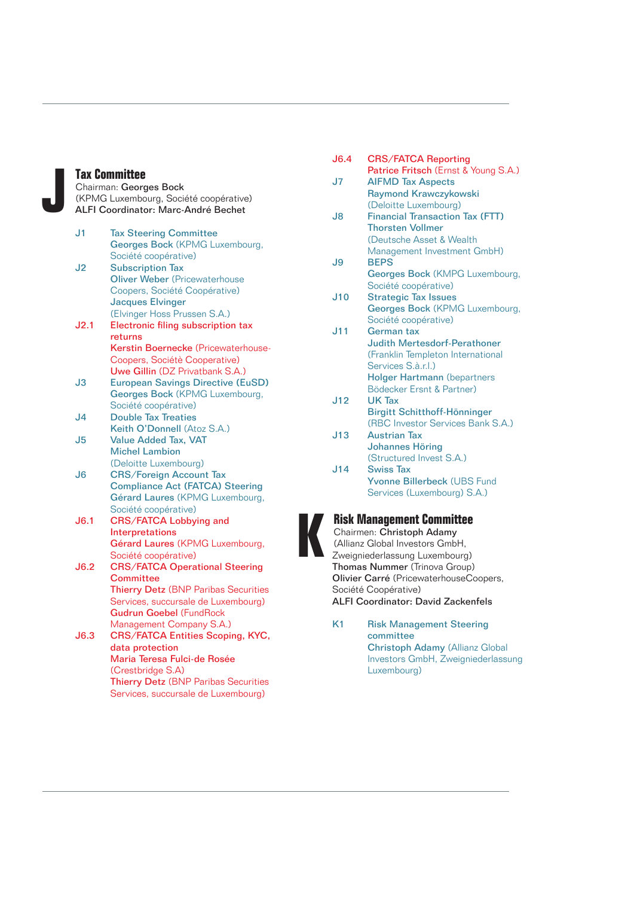**Jax Committee**<br>Chairman: Georg<br>KPMG Luxembo<br>ALFI Coordinate Chairman: Georges Bock (KPMG Luxembourg, Société coopérative) ALFI Coordinator: Marc-André Bechet

- J1 Tax Steering Committee Georges Bock (KPMG Luxembourg, Société coopérative)
- J2 Subscription Tax Oliver Weber (Pricewaterhouse Coopers, Société Coopérative) Jacques Elvinger (Elvinger Hoss Prussen S.A.)
- J2.1 Electronic filing subscription tax returns Kerstin Boernecke (Pricewaterhouse-Coopers, Sociétè Cooperative) Uwe Gillin (DZ Privatbank S.A.)
- J3 European Savings Directive (EuSD) Georges Bock (KPMG Luxembourg, Société coopérative)
- J4 Double Tax Treaties Keith O'Donnell (Atoz S.A.)
- J5 Value Added Tax, VAT Michel Lambion (Deloitte Luxembourg)
- J6 CRS/Foreign Account Tax Compliance Act (FATCA) Steering Gérard Laures (KPMG Luxembourg, Société coopérative)
- J6.1 CRS/FATCA Lobbying and Interpretations Gérard Laures (KPMG Luxembourg, Société coopérative)
- J6.2 CRS/FATCA Operational Steering **Committee** Thierry Detz (BNP Paribas Securities Services, succursale de Luxembourg) Gudrun Goebel (FundRock Management Company S.A.)
- J6.3 CRS/FATCA Entities Scoping, KYC, data protection Maria Teresa Fulci-de Rosée (Crestbridge S.A) Thierry Detz (BNP Paribas Securities Services, succursale de Luxembourg)

| J6.4                          | <b>CRS/FATCA Reporting</b>             |  |  |
|-------------------------------|----------------------------------------|--|--|
|                               | Patrice Fritsch (Ernst & Young S.A.)   |  |  |
| J <sub>7</sub>                | <b>AIFMD Tax Aspects</b>               |  |  |
|                               | <b>Raymond Krawczykowski</b>           |  |  |
|                               | (Deloitte Luxembourg)                  |  |  |
| J8                            | <b>Financial Transaction Tax (FTT)</b> |  |  |
|                               | <b>Thorsten Vollmer</b>                |  |  |
|                               | (Deutsche Asset & Wealth               |  |  |
|                               | Management Investment GmbH)            |  |  |
| J9                            | <b>BEPS</b>                            |  |  |
|                               | Georges Bock (KMPG Luxembourg,         |  |  |
|                               | Société coopérative)                   |  |  |
| J10                           | <b>Strategic Tax Issues</b>            |  |  |
|                               | Georges Bock (KPMG Luxembourg,         |  |  |
|                               | Société coopérative)                   |  |  |
| J11                           | German tax                             |  |  |
|                               | <b>Judith Mertesdorf-Perathoner</b>    |  |  |
|                               | (Franklin Templeton International      |  |  |
|                               | Services S.à.r.l.)                     |  |  |
|                               |                                        |  |  |
|                               | <b>Holger Hartmann</b> (bepartners     |  |  |
|                               | Bödecker Ersnt & Partner)              |  |  |
| J12                           | <b>UK Tax</b>                          |  |  |
|                               | Birgitt Schitthoff-Hönninger           |  |  |
|                               | (RBC Investor Services Bank S.A.)      |  |  |
| J13                           | <b>Austrian Tax</b>                    |  |  |
|                               | <b>Johannes Höring</b>                 |  |  |
|                               | (Structured Invest S.A.)               |  |  |
| J14                           | <b>Swiss Tax</b>                       |  |  |
|                               | Yvonne Billerbeck (UBS Fund            |  |  |
|                               | Services (Luxembourg) S.A.)            |  |  |
|                               |                                        |  |  |
|                               | <b>Risk Management Committee</b>       |  |  |
| Chairmen: Christoph Adamy     |                                        |  |  |
|                               | (Allianz Global Investors GmbH,        |  |  |
|                               | Zweigniederlassung Luxembourg)         |  |  |
| Thomas Nummer (Trinova Group) |                                        |  |  |

- Olivier Carré (PricewaterhouseCoopers, Société Coopérative) ALFI Coordinator: David Zackenfels
- K1 Risk Management Steering committee Christoph Adamy (Allianz Global Investors GmbH, Zweigniederlassung Luxembourg)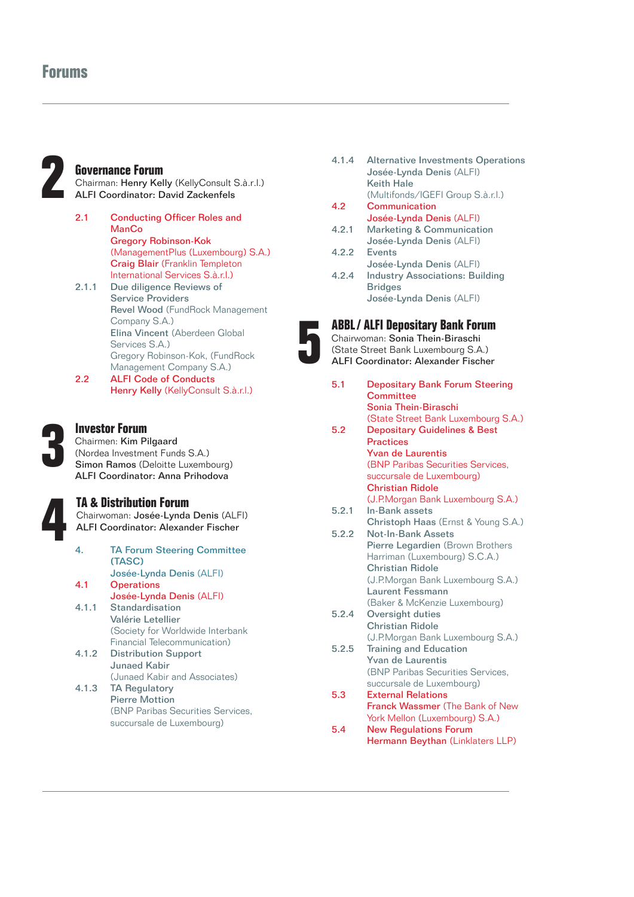# **Forums**



**22 Governance Forum**<br>Chairman: Henry Ke<br>ALFI Coordinator: D Chairman: Henry Kelly (KellyConsult S.à.r.l.) ALFI Coordinator: David Zackenfels

- 2.1 Conducting Officer Roles and ManCo Gregory Robinson-Kok (ManagementPlus (Luxembourg) S.A.) Craig Blair (Franklin Templeton International Services S.à.r.l.) 2.1.1 Due diligence Reviews of Service Providers
- Revel Wood (FundRock Management Company S.A.) Elina Vincent (Aberdeen Global Services S.A.) Gregory Robinson-Kok, (FundRock Management Company S.A.) 2.2 ALFI Code of Conducts
- Henry Kelly (KellyConsult S.à.r.l.)



## **3 Investor Forum**

Chairmen: Kim Pilgaard (Nordea Investment Funds S.A.) Simon Ramos (Deloitte Luxembourg) ALFI Coordinator: Anna Prihodova



**14 & Distribution Forum**<br>Chairwoman: Josée-Lynda<br>ALFI Coordinator: Alexan<br>4. **TA Forum Steerin** Chairwoman: Josée-Lynda Denis (ALFI) ALFI Coordinator: Alexander Fischer

- 4. TA Forum Steering Committee (TASC) Josée-Lynda Denis (ALFI) 4.1 Operations Josée-Lynda Denis (ALFI) 4.1.1 Standardisation
- Valérie Letellier (Society for Worldwide Interbank Financial Telecommunication)
- 4.1.2 Distribution Support Junaed Kabir (Junaed Kabir and Associates)
- 4.1.3 TA Regulatory Pierre Mottion (BNP Paribas Securities Services, succursale de Luxembourg)
- 4.1.4 Alternative Investments Operations Josée-Lynda Denis (ALFI) Keith Hale (Multifonds/IGEFI Group S.à.r.l.)
- 4.2 Communication Josée-Lynda Denis (ALFI)
- 4.2.1 Marketing & Communication Josée-Lynda Denis (ALFI)
- 4.2.2 Events Josée-Lynda Denis (ALFI)
- 4.2.4 Industry Associations: Building **Bridges** Josée-Lynda Denis (ALFI)

# **5 ABBL/ ALFI Depositary Bank Forum**

Chairwoman: Sonia Thein-Biraschi (State Street Bank Luxembourg S.A.) ALFI Coordinator: Alexander Fischer

5.1 Depositary Bank Forum Steering **Committee** Sonia Thein-Biraschi (State Street Bank Luxembourg S.A.) 5.2 Depositary Guidelines & Best Practices Yvan de Laurentis (BNP Paribas Securities Services, succursale de Luxembourg) Christian Ridole (J.P.Morgan Bank Luxembourg S.A.) 5.2.1 In-Bank assets Christoph Haas (Ernst & Young S.A.) 5.2.2 Not-In-Bank Assets Pierre Legardien (Brown Brothers Harriman (Luxembourg) S.C.A.) Christian Ridole (J.P.Morgan Bank Luxembourg S.A.) Laurent Fessmann (Baker & McKenzie Luxembourg) 5.2.4 Oversight duties Christian Ridole (J.P.Morgan Bank Luxembourg S.A.) 5.2.5 Training and Education Yvan de Laurentis (BNP Paribas Securities Services, succursale de Luxembourg) 5.3 External Relations Franck Wassmer (The Bank of New York Mellon (Luxembourg) S.A.) 5.4 New Regulations Forum Hermann Beythan (Linklaters LLP)